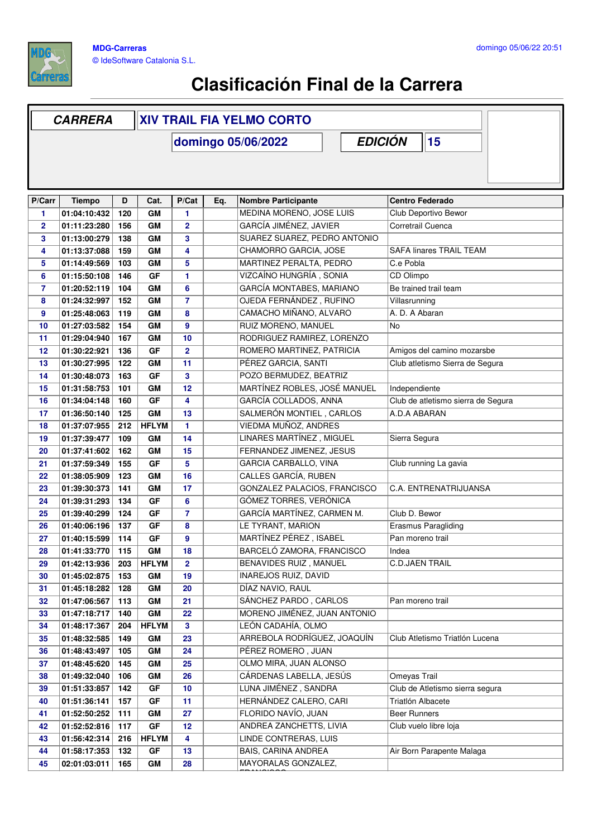

r

## **Clasificación Final de la Carrera**

|                | <b>CARRERA</b>               |            |                    | <b>XIV TRAIL FIA YELMO CORTO</b> |                    |                                                        |                         |                                           |                                    |  |  |
|----------------|------------------------------|------------|--------------------|----------------------------------|--------------------|--------------------------------------------------------|-------------------------|-------------------------------------------|------------------------------------|--|--|
|                |                              |            |                    |                                  | domingo 05/06/2022 |                                                        | <b>EDICIÓN</b>          |                                           | 15                                 |  |  |
|                |                              |            |                    |                                  |                    |                                                        |                         |                                           |                                    |  |  |
|                |                              |            |                    |                                  |                    |                                                        |                         |                                           |                                    |  |  |
|                |                              |            |                    |                                  |                    |                                                        |                         |                                           |                                    |  |  |
| P/Carr         | <b>Tiempo</b>                | D          | Cat.               | P/Cat                            | Eq.                | Nombre Participante                                    |                         | <b>Centro Federado</b>                    |                                    |  |  |
| 1              | 01:04:10:432                 | 120        | GM                 | 1                                |                    | MEDINA MORENO, JOSE LUIS                               |                         | Club Deportivo Bewor<br>Corretrail Cuenca |                                    |  |  |
| $\mathbf{2}$   | 01:11:23:280                 | 156        | GM                 | $\overline{2}$                   |                    | GARCÍA JIMÉNEZ, JAVIER<br>SUAREZ SUAREZ, PEDRO ANTONIO |                         |                                           |                                    |  |  |
| 3<br>4         | 01:13:00:279<br>01:13:37:088 | 138<br>159 | GM<br>GM           | 3<br>4                           |                    |                                                        |                         | <b>SAFA linares TRAIL TEAM</b>            |                                    |  |  |
| 5              | 01:14:49:569                 | 103        | <b>GM</b>          | 5                                |                    | CHAMORRO GARCIA, JOSE<br>MARTINEZ PERALTA, PEDRO       |                         | C.e Pobla                                 |                                    |  |  |
| 6              | 01:15:50:108                 | 146        | GF                 | 1                                |                    | VIZCAÍNO HUNGRÍA, SONIA                                |                         | CD Olimpo                                 |                                    |  |  |
| $\overline{7}$ | 01:20:52:119                 | 104        | GM                 | 6                                |                    | GARCÍA MONTABES, MARIANO                               |                         |                                           | Be trained trail team              |  |  |
| 8              | 01:24:32:997                 | 152        | GM                 | $\overline{7}$                   |                    | OJEDA FERNÁNDEZ, RUFINO                                |                         | Villasrunning                             |                                    |  |  |
| 9              | 01:25:48:063                 | 119        | <b>GM</b>          | 8                                |                    | CAMACHO MIÑANO, ALVARO                                 |                         |                                           | A. D. A Abaran                     |  |  |
| 10             | 01:27:03:582                 | 154        | GM                 | 9                                |                    | RUIZ MORENO, MANUEL                                    |                         | No                                        |                                    |  |  |
| 11             | 01:29:04:940                 | 167        | GM                 | 10                               |                    | RODRIGUEZ RAMIREZ, LORENZO                             |                         |                                           |                                    |  |  |
| 12             | 01:30:22:921                 | 136        | GF                 | 2                                |                    | ROMERO MARTINEZ, PATRICIA                              |                         |                                           | Amigos del camino mozarsbe         |  |  |
| 13             | 01:30:27:995                 | 122        | GM                 | 11                               |                    | PÉREZ GARCIA, SANTI                                    |                         |                                           | Club atletismo Sierra de Segura    |  |  |
| 14             | 01:30:48:073                 | 163        | GF                 | 3                                |                    | POZO BERMUDEZ, BEATRIZ                                 |                         |                                           |                                    |  |  |
| 15             | 01:31:58:753                 | 101        | <b>GM</b>          | 12                               |                    | MARTÍNEZ ROBLES, JOSÉ MANUEL                           |                         |                                           | Independiente                      |  |  |
| 16             | 01:34:04:148                 | 160        | GF                 | 4                                |                    | GARCÍA COLLADOS, ANNA                                  |                         |                                           | Club de atletismo sierra de Segura |  |  |
| 17             | 01:36:50:140                 | 125        | <b>GM</b>          | 13                               |                    | SALMERÓN MONTIEL, CARLOS                               |                         | A.D.A ABARAN                              |                                    |  |  |
| 18             | 01:37:07:955                 | 212        | <b>HFLYM</b>       | 1                                |                    | VIEDMA MUÑOZ, ANDRES                                   |                         |                                           |                                    |  |  |
| 19             | 01:37:39:477                 | 109        | GM                 | 14                               |                    | LINARES MARTÍNEZ, MIGUEL                               |                         | Sierra Segura                             |                                    |  |  |
| 20             | 01:37:41:602                 | 162        | <b>GM</b>          | 15                               |                    | FERNANDEZ JIMENEZ, JESUS                               |                         |                                           |                                    |  |  |
| 21             | 01:37:59:349                 | 155        | GF                 | 5                                |                    | GARCIA CARBALLO, VINA                                  |                         | Club running La gavia                     |                                    |  |  |
| 22             | 01:38:05:909                 | 123        | GM                 | 16                               |                    | <b>CALLES GARCÍA, RUBEN</b>                            |                         |                                           |                                    |  |  |
| 23             | 01:39:30:373                 | 141        | GM                 | 17                               |                    | GONZALEZ PALACIOS, FRANCISCO                           |                         | C.A. ENTRENATRIJUANSA                     |                                    |  |  |
| 24             | 01:39:31:293                 | 134        | GF                 | 6                                |                    | GÓMEZ TORRES, VERÓNICA                                 |                         |                                           |                                    |  |  |
| 25             | 01:39:40:299                 | 124        | <b>GF</b>          | $\overline{7}$                   |                    | GARCÍA MARTÍNEZ, CARMEN M.                             |                         | Club D. Bewor                             |                                    |  |  |
| 26             | 01:40:06:196                 | 137        | GF                 | 8                                |                    | LE TYRANT, MARION                                      |                         | <b>Erasmus Paragliding</b>                |                                    |  |  |
| 27             | 01:40:15:599                 | 114        | GF                 | 9                                |                    | MARTÍNEZ PÉREZ, ISABEL                                 |                         | Pan moreno trail                          |                                    |  |  |
| 28             | 01:41:33:770                 | 115        | GM                 | 18                               |                    | BARCELÓ ZAMORA, FRANCISCO                              |                         | Indea                                     |                                    |  |  |
| 29             | 01:42:13:936                 | 203        | <b>HFLYM</b>       | $\mathbf{2}$                     |                    | BENAVIDES RUIZ, MANUEL                                 |                         | <b>C.D.JAEN TRAIL</b>                     |                                    |  |  |
| 30             | 01:45:02:875                 | 153        | GM                 | 19                               |                    | <b>INAREJOS RUIZ, DAVID</b>                            |                         |                                           |                                    |  |  |
| 31             | 01:45:18:282                 | 128        | GМ                 | 20<br>21                         |                    | DÍAZ NAVIO, RAUL                                       |                         |                                           |                                    |  |  |
| 32             | 01:47:06:567                 | 113<br>140 | GM                 | 22                               |                    | SÁNCHEZ PARDO, CARLOS<br>MORENO JIMÉNEZ, JUAN ANTONIO  |                         | Pan moreno trail                          |                                    |  |  |
| 33<br>34       | 01:47:18:717<br>01:48:17:367 | 204        | GM<br><b>HFLYM</b> | 3                                |                    | LEÓN CADAHÍA, OLMO                                     |                         |                                           |                                    |  |  |
| 35             | 01:48:32:585                 | 149        | GM                 | 23                               |                    | ARREBOLA RODRÍGUEZ, JOAQUÍN                            |                         | Club Atletismo Triatlón Lucena            |                                    |  |  |
| 36             | 01:48:43:497                 | 105        | GM                 | 24                               |                    | PÉREZ ROMERO, JUAN                                     |                         |                                           |                                    |  |  |
| 37             | 01:48:45:620                 | 145        | GM                 | 25                               |                    | OLMO MIRA, JUAN ALONSO                                 |                         |                                           |                                    |  |  |
| 38             | 01:49:32:040                 | 106        | GM                 | 26                               |                    | CÁRDENAS LABELLA, JESÚS                                |                         | <b>Omeyas Trail</b>                       |                                    |  |  |
| 39             | 01:51:33:857                 | 142        | GF                 | 10                               |                    | LUNA JIMÉNEZ, SANDRA                                   |                         |                                           | Club de Atletismo sierra segura    |  |  |
| 40             | 01:51:36:141                 | 157        | GF                 | 11                               |                    | HERNÁNDEZ CALERO, CARI                                 |                         |                                           | Triatlón Albacete                  |  |  |
| 41             | 01:52:50:252                 | 111        | GМ                 | 27                               |                    | FLORIDO NAVÍO, JUAN                                    |                         |                                           | <b>Beer Runners</b>                |  |  |
| 42             | 01:52:52:816                 | 117        | GF                 | 12                               |                    |                                                        | ANDREA ZANCHETTS, LIVIA |                                           | Club vuelo libre loja              |  |  |
| 43             | 01:56:42:314                 | 216        | <b>HFLYM</b>       | 4                                |                    | LINDE CONTRERAS, LUIS                                  |                         |                                           |                                    |  |  |
| 44             | 01:58:17:353                 | 132        | GF                 | 13                               |                    | BAIS, CARINA ANDREA                                    |                         | Air Born Parapente Malaga                 |                                    |  |  |
| 45             | 02:01:03:011                 | 165        | GM                 | 28                               |                    | MAYORALAS GONZALEZ,                                    |                         |                                           |                                    |  |  |
|                |                              |            |                    |                                  |                    |                                                        |                         |                                           |                                    |  |  |